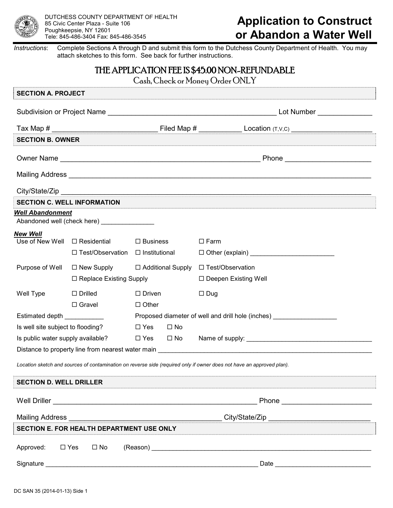

## **Application to Construct or Abandon a Water Well**

*Instructions*: Complete Sections A through D and submit this form to the Dutchess County Department of Health. You may attach sketches to this form. See back for further instructions.

## THE APPLICATION FEE IS \$45.00 NON-REFUNDABLE

Cash, Check or Money Order ONLY

| <b>SECTION A. PROJECT</b>          |                                              |                                                                                  |              |                                                                                                                                                                                                                                      |  |  |
|------------------------------------|----------------------------------------------|----------------------------------------------------------------------------------|--------------|--------------------------------------------------------------------------------------------------------------------------------------------------------------------------------------------------------------------------------------|--|--|
|                                    |                                              |                                                                                  |              |                                                                                                                                                                                                                                      |  |  |
|                                    |                                              |                                                                                  |              |                                                                                                                                                                                                                                      |  |  |
| <b>SECTION B. OWNER</b>            |                                              |                                                                                  |              |                                                                                                                                                                                                                                      |  |  |
|                                    |                                              |                                                                                  |              |                                                                                                                                                                                                                                      |  |  |
|                                    |                                              |                                                                                  |              | Mailing Address <b>Committee Committee Committee Committee Committee Committee Committee Committee Committee Committee Committee Committee Committee Committee Committee Committee Committee Committee Committee Committee Commi</b> |  |  |
|                                    |                                              |                                                                                  |              |                                                                                                                                                                                                                                      |  |  |
|                                    | <b>SECTION C. WELL INFORMATION</b>           |                                                                                  |              |                                                                                                                                                                                                                                      |  |  |
| <b>Well Abandonment</b>            | Abandoned well (check here) ________________ |                                                                                  |              |                                                                                                                                                                                                                                      |  |  |
| <b>New Well</b>                    |                                              |                                                                                  |              |                                                                                                                                                                                                                                      |  |  |
| Use of New Well $\Box$ Residential |                                              | $\Box$ Business                                                                  |              | $\Box$ Farm                                                                                                                                                                                                                          |  |  |
|                                    | $\Box$ Test/Observation $\Box$ Institutional |                                                                                  |              |                                                                                                                                                                                                                                      |  |  |
| Purpose of Well                    | $\Box$ New Supply                            | □ Additional Supply                                                              |              | □ Test/Observation                                                                                                                                                                                                                   |  |  |
|                                    |                                              | $\Box$ Replace Existing Supply                                                   |              | $\Box$ Deepen Existing Well                                                                                                                                                                                                          |  |  |
| Well Type                          | $\Box$ Drilled                               | $\Box$ Driven                                                                    |              | $\Box$ Dug                                                                                                                                                                                                                           |  |  |
|                                    | $\Box$ Gravel                                | $\Box$ Other                                                                     |              |                                                                                                                                                                                                                                      |  |  |
| Estimated depth ____________       |                                              | Proposed diameter of well and drill hole (inches) ______________________________ |              |                                                                                                                                                                                                                                      |  |  |
| Is well site subject to flooding?  |                                              | $\square$ Yes                                                                    | $\square$ No |                                                                                                                                                                                                                                      |  |  |
| Is public water supply available?  |                                              |                                                                                  |              |                                                                                                                                                                                                                                      |  |  |
|                                    |                                              |                                                                                  |              |                                                                                                                                                                                                                                      |  |  |
|                                    |                                              |                                                                                  |              | Location sketch and sources of contamination on reverse side (required only if owner does not have an approved plan).                                                                                                                |  |  |
| <b>SECTION D. WELL DRILLER</b>     |                                              |                                                                                  |              |                                                                                                                                                                                                                                      |  |  |
|                                    |                                              |                                                                                  |              |                                                                                                                                                                                                                                      |  |  |
|                                    |                                              |                                                                                  |              | Mailing Address <b>Commission Commission Commission City/State/Zip</b> Processor Commission                                                                                                                                          |  |  |
|                                    | SECTION E. FOR HEALTH DEPARTMENT USE ONLY    |                                                                                  |              |                                                                                                                                                                                                                                      |  |  |
| Approved:                          | $\square$ Yes<br>$\square$ No                |                                                                                  |              |                                                                                                                                                                                                                                      |  |  |
|                                    |                                              |                                                                                  |              |                                                                                                                                                                                                                                      |  |  |